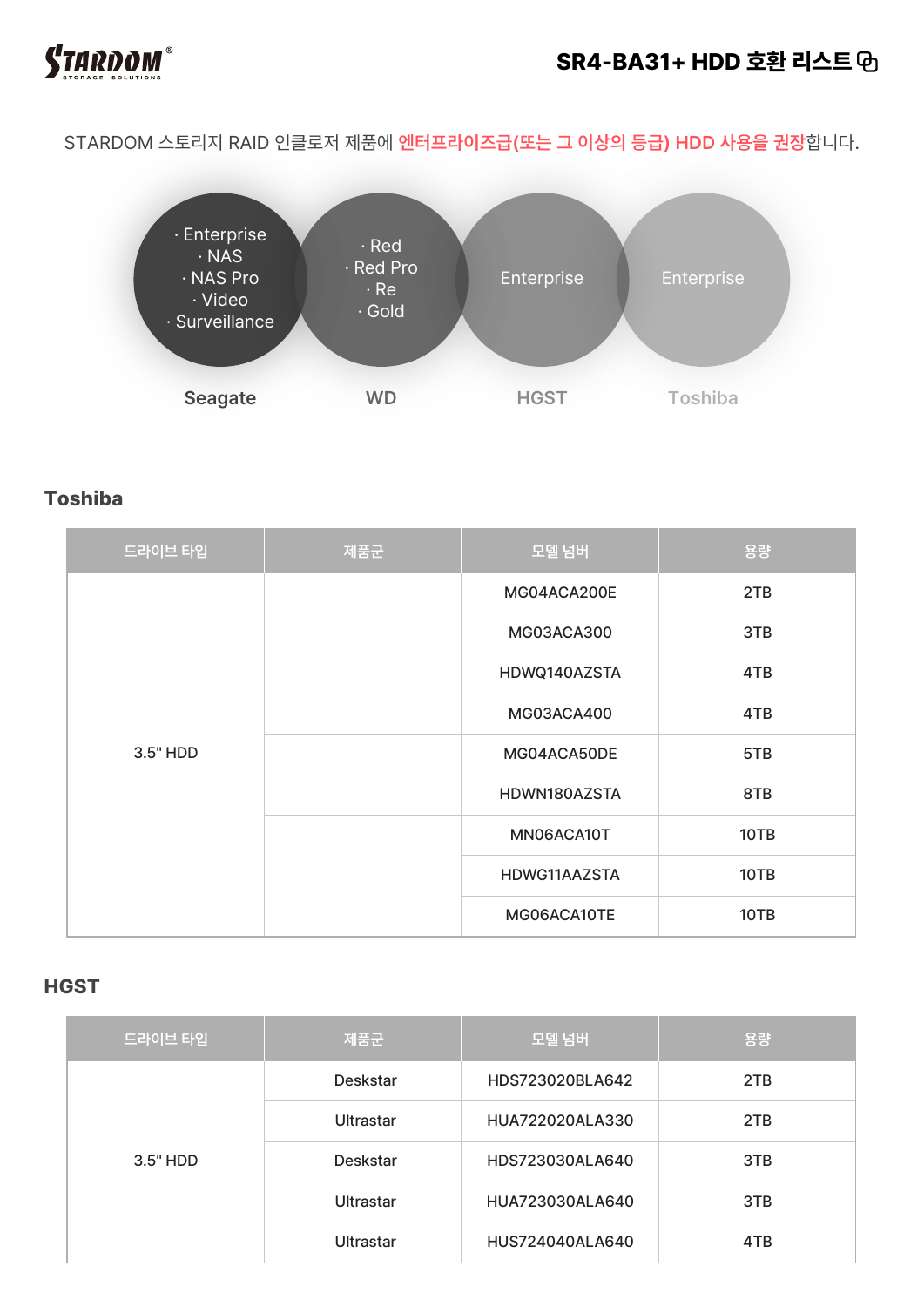

### **SR4-BA31+ HDD 호환 리스트**

STARDOM 스토리지 RAID 인클로저 제품에 **엔터프라이즈급(또는 그 이상의 등급) HDD 사용을 권장**합니다.



### **Toshiba**

| 드라이브 타입  | 제품군 | 모델 넘버        | 용량   |
|----------|-----|--------------|------|
| 3.5" HDD |     | MG04ACA200E  | 2TB  |
|          |     | MG03ACA300   | 3TB  |
|          |     | HDWQ140AZSTA | 4TB  |
|          |     | MG03ACA400   | 4TB  |
|          |     | MG04ACA50DE  | 5TB  |
|          |     | HDWN180AZSTA | 8TB  |
|          |     | MN06ACA10T   | 10TB |
|          |     | HDWG11AAZSTA | 10TB |
|          |     | MG06ACA10TE  | 10TB |

#### **HGST**

| 드라이브 타입    | 제품군       | 모델 넘버           | 용량  |
|------------|-----------|-----------------|-----|
| $3.5"$ HDD | Deskstar  | HDS723020BLA642 | 2TB |
|            | Ultrastar | HUA722020ALA330 | 2TB |
|            | Deskstar  | HDS723030ALA640 | 3TB |
|            | Ultrastar | HUA723030ALA640 | 3TB |
|            | Ultrastar | HUS724040ALA640 | 4TB |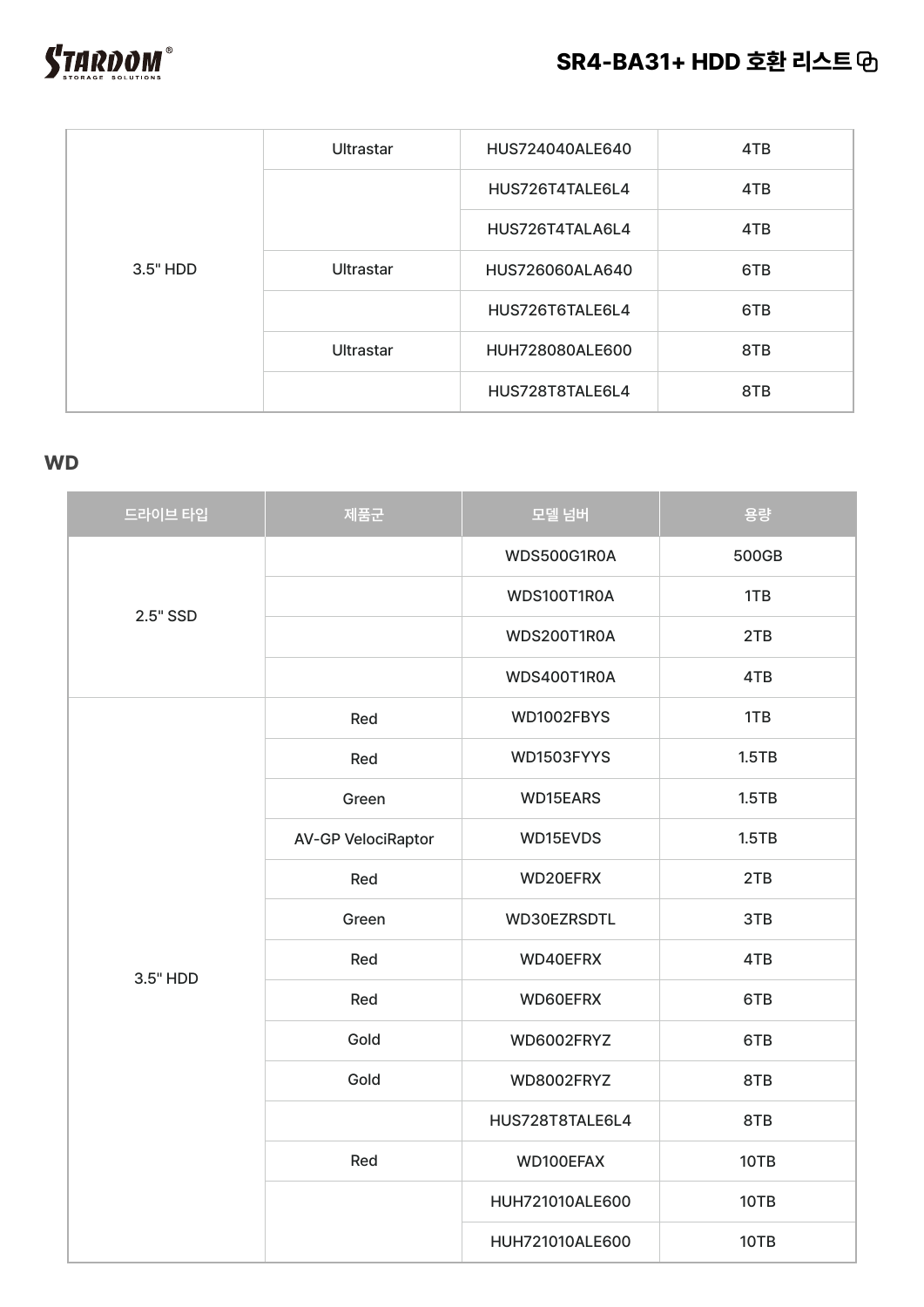



| <b>Ultrastar</b>             | HUS724040ALE640 | 4TB |
|------------------------------|-----------------|-----|
|                              | HUS726T4TALE6L4 | 4TB |
|                              | HUS726T4TALA6L4 | 4TB |
| 3.5" HDD<br><b>Ultrastar</b> | HUS726060ALA640 | 6TB |
|                              | HUS726T6TALE6L4 | 6TB |
| Ultrastar                    | HUH728080ALE600 | 8TB |
|                              | HUS728T8TALE6L4 | 8TB |

#### **WD**

| 드라이브 타입  | 제품군                       | 모델 넘버                                                                                                                                                                                                                | 용량    |
|----------|---------------------------|----------------------------------------------------------------------------------------------------------------------------------------------------------------------------------------------------------------------|-------|
| 2.5" SSD |                           | WDS500G1R0A                                                                                                                                                                                                          | 500GB |
|          |                           | WDS100T1R0A                                                                                                                                                                                                          | 1TB   |
|          |                           | WDS200T1R0A                                                                                                                                                                                                          | 2TB   |
|          |                           | WDS400T1R0A<br>WD1002FBYS<br>WD1503FYYS<br>WD15EARS<br>WD15EVDS<br>WD20EFRX<br>WD30EZRSDTL<br>WD40EFRX<br>WD60EFRX<br>WD6002FRYZ<br>WD8002FRYZ<br>HUS728T8TALE6L4<br>WD100EFAX<br>HUH721010ALE600<br>HUH721010ALE600 | 4TB   |
|          | Red                       |                                                                                                                                                                                                                      | 1TB   |
|          | Red                       |                                                                                                                                                                                                                      | 1.5TB |
|          | Green                     |                                                                                                                                                                                                                      | 1.5TB |
|          | <b>AV-GP VelociRaptor</b> |                                                                                                                                                                                                                      | 1.5TB |
|          | Red                       |                                                                                                                                                                                                                      | 2TB   |
|          | Green                     |                                                                                                                                                                                                                      | 3TB   |
| 3.5" HDD | Red                       |                                                                                                                                                                                                                      | 4TB   |
|          | Red                       |                                                                                                                                                                                                                      | 6TB   |
|          | Gold                      |                                                                                                                                                                                                                      | 6TB   |
|          | Gold                      |                                                                                                                                                                                                                      | 8TB   |
|          |                           |                                                                                                                                                                                                                      | 8TB   |
|          | Red                       |                                                                                                                                                                                                                      | 10TB  |
|          |                           |                                                                                                                                                                                                                      | 10TB  |
|          |                           |                                                                                                                                                                                                                      | 10TB  |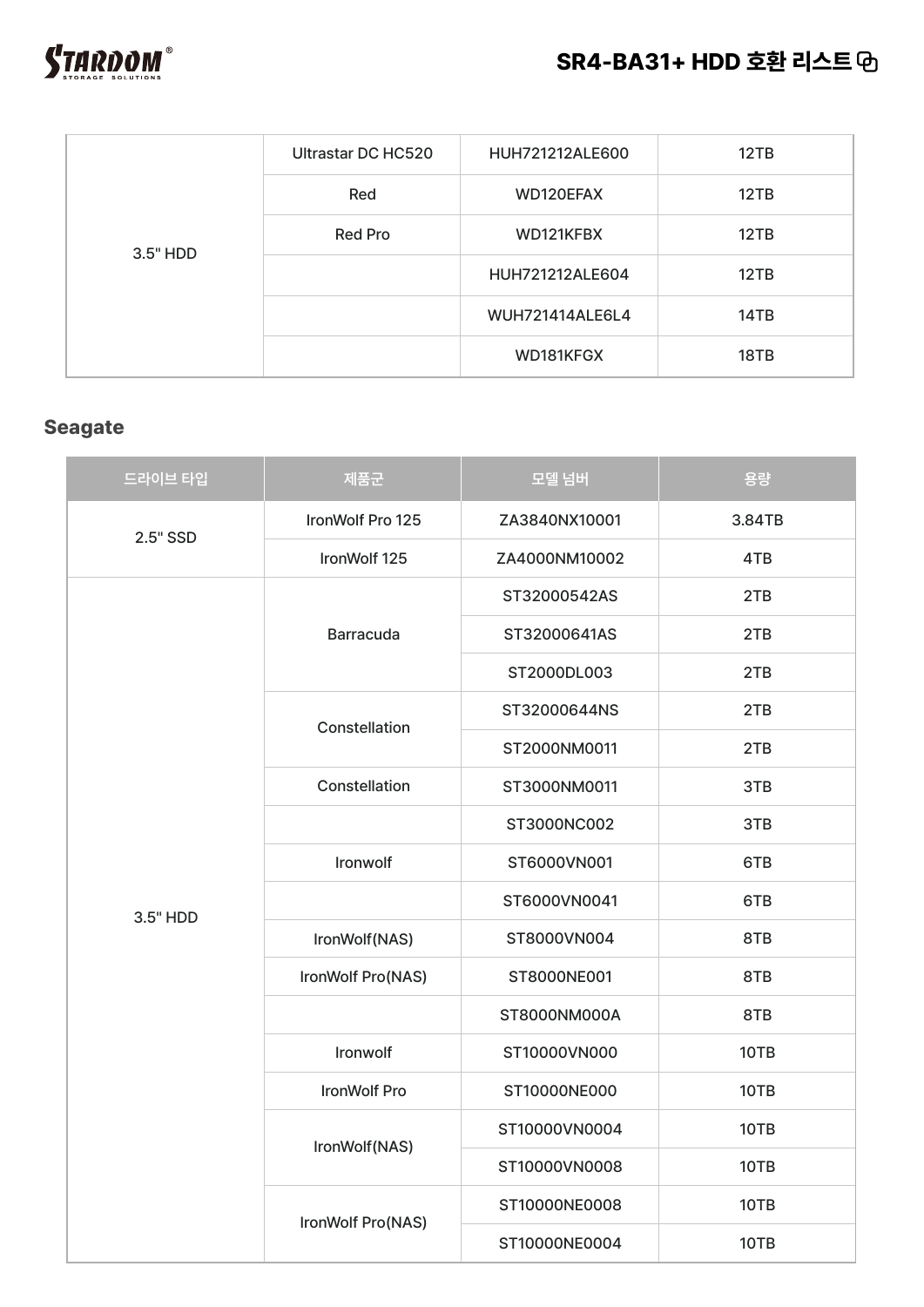

| 3.5" HDD | Ultrastar DC HC520 | HUH721212ALE600        | 12TB |
|----------|--------------------|------------------------|------|
|          | Red                | WD120EFAX              | 12TB |
|          | <b>Red Pro</b>     | WD121KFBX              | 12TB |
|          |                    | HUH721212ALE604        | 12TB |
|          |                    | <b>WUH721414ALE6L4</b> | 14TB |
|          |                    | WD181KFGX              | 18TB |

## **Seagate**

| 드라이브 타입  | 제품군               | 모델 넘버         | 용량     |
|----------|-------------------|---------------|--------|
| 2.5" SSD | IronWolf Pro 125  | ZA3840NX10001 | 3.84TB |
|          | IronWolf 125      | ZA4000NM10002 | 4TB    |
|          | <b>Barracuda</b>  | ST32000542AS  | 2TB    |
|          |                   | ST32000641AS  | 2TB    |
|          |                   | ST2000DL003   | 2TB    |
|          | Constellation     | ST32000644NS  | 2TB    |
|          |                   | ST2000NM0011  | 2TB    |
|          | Constellation     | ST3000NM0011  | 3TB    |
|          |                   | ST3000NC002   | 3TB    |
|          | Ironwolf          | ST6000VN001   | 6TB    |
|          |                   | ST6000VN0041  | 6TB    |
| 3.5" HDD | IronWolf(NAS)     | ST8000VN004   | 8TB    |
|          | IronWolf Pro(NAS) | ST8000NE001   | 8TB    |
|          |                   | ST8000NM000A  | 8TB    |
|          | Ironwolf          | ST10000VN000  | 10TB   |
|          | IronWolf Pro      | ST10000NE000  | 10TB   |
|          |                   | ST10000VN0004 | 10TB   |
|          | IronWolf(NAS)     | ST10000VN0008 | 10TB   |
|          | IronWolf Pro(NAS) | ST10000NE0008 | 10TB   |
|          |                   | ST10000NE0004 | 10TB   |